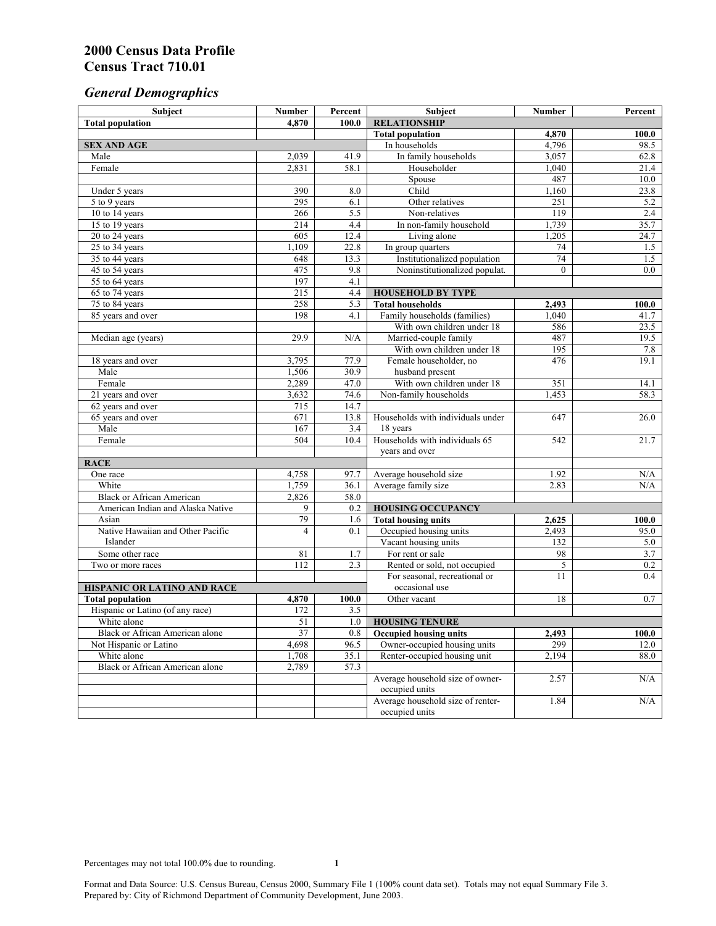# *General Demographics*

| Subject                                                     | <b>Number</b> | Percent      | Subject                                                       | Number         | Percent          |
|-------------------------------------------------------------|---------------|--------------|---------------------------------------------------------------|----------------|------------------|
| <b>Total population</b>                                     | 4,870         | 100.0        | <b>RELATIONSHIP</b>                                           |                |                  |
|                                                             |               |              | <b>Total population</b>                                       | 4,870          | 100.0            |
| <b>SEX AND AGE</b>                                          |               |              | In households                                                 | 4,796          | 98.5             |
| Male                                                        | 2,039         | 41.9         | In family households                                          | 3,057          | 62.8             |
| Female                                                      | 2,831         | 58.1         | Householder                                                   | 1,040          | 21.4             |
|                                                             |               |              | Spouse                                                        | 487            | 10.0             |
| Under 5 years                                               | 390           | 8.0          | Child                                                         | 1,160          | 23.8             |
| 5 to 9 years                                                | 295<br>266    | 6.1<br>5.5   | Other relatives<br>Non-relatives                              | 251<br>119     | 5.2<br>2.4       |
| 10 to 14 years<br>15 to 19 years                            | 214           | 4.4          | In non-family household                                       | 1,739          | 35.7             |
| 20 to 24 years                                              | 605           | 12.4         | Living alone                                                  | 1,205          | 24.7             |
| 25 to 34 years                                              | 1,109         | 22.8         |                                                               | 74             | 1.5              |
| 35 to 44 years                                              | 648           | 13.3         | In group quarters<br>Institutionalized population             | 74             | 1.5              |
| 45 to 54 years                                              | 475           | 9.8          | Noninstitutionalized populat.                                 | $\overline{0}$ | $\overline{0.0}$ |
| 55 to 64 years                                              | 197           | 4.1          |                                                               |                |                  |
| 65 to 74 years                                              | 215           | 4.4          | <b>HOUSEHOLD BY TYPE</b>                                      |                |                  |
| 75 to 84 years                                              | 258           | 5.3          | <b>Total households</b>                                       | 2,493          | 100.0            |
| 85 years and over                                           | 198           | 4.1          | Family households (families)                                  | 1,040          | 41.7             |
|                                                             |               |              | With own children under 18                                    | 586            | 23.5             |
| Median age (years)                                          | 29.9          | N/A          | Married-couple family                                         | 487            | 19.5             |
|                                                             |               |              | With own children under 18                                    | 195            | 7.8              |
| 18 years and over                                           | 3,795         | 77.9         | Female householder, no                                        | 476            | 19.1             |
| Male                                                        | 1,506         | 30.9         | husband present                                               |                |                  |
| Female                                                      | 2,289         | 47.0         | With own children under 18                                    | 351            | 14.1             |
| 21 years and over                                           | 3,632         | 74.6         | Non-family households                                         | 1,453          | 58.3             |
| 62 years and over                                           | 715           | 14.7         |                                                               |                |                  |
| 65 years and over                                           | 671           | 13.8         | Households with individuals under                             | 647            | 26.0             |
| Male                                                        | 167           | 3.4          | 18 years                                                      |                |                  |
| Female                                                      | 504           | 10.4         | Households with individuals 65                                | 542            | 21.7             |
|                                                             |               |              | years and over                                                |                |                  |
| <b>RACE</b>                                                 |               |              |                                                               |                |                  |
| One race                                                    | 4,758         | 97.7         | Average household size                                        | 1.92           | N/A              |
| White                                                       | 1,759         | 36.1         | Average family size                                           | 2.83           | N/A              |
| <b>Black or African American</b>                            | 2,826         | 58.0         |                                                               |                |                  |
| American Indian and Alaska Native                           | 9             | 0.2          | <b>HOUSING OCCUPANCY</b>                                      |                |                  |
| Asian                                                       | 79            | 1.6          | <b>Total housing units</b>                                    | 2,625          | 100.0            |
| Native Hawaiian and Other Pacific                           | 4             | 0.1          | Occupied housing units                                        | 2,493          | 95.0             |
| Islander                                                    |               |              | Vacant housing units                                          | 132            | 5.0              |
| Some other race                                             | 81            | 1.7          | For rent or sale                                              | 98             | 3.7              |
| Two or more races                                           | 112           | 2.3          | Rented or sold, not occupied                                  | 5              | 0.2              |
|                                                             |               |              | For seasonal, recreational or                                 | 11             | 0.4              |
| HISPANIC OR LATINO AND RACE                                 |               |              | occasional use                                                |                |                  |
| <b>Total population</b><br>Hispanic or Latino (of any race) | 4,870<br>172  | 100.0<br>3.5 | Other vacant                                                  | 18             | 0.7              |
| White alone                                                 | 51            | 1.0          | <b>HOUSING TENURE</b>                                         |                |                  |
|                                                             |               |              |                                                               |                |                  |
| Black or African American alone<br>Not Hispanic or Latino   | 37<br>4,698   | 0.8<br>96.5  | <b>Occupied housing units</b><br>Owner-occupied housing units | 2,493<br>299   | 100.0<br>12.0    |
| White alone                                                 | 1,708         | 35.1         | Renter-occupied housing unit                                  | 2,194          | 88.0             |
| <b>Black or African American alone</b>                      | 2,789         | 57.3         |                                                               |                |                  |
|                                                             |               |              | Average household size of owner-                              | 2.57           | N/A              |
|                                                             |               |              | occupied units                                                |                |                  |
|                                                             |               |              | Average household size of renter-                             | 1.84           | N/A              |
|                                                             |               |              | occupied units                                                |                |                  |
|                                                             |               |              |                                                               |                |                  |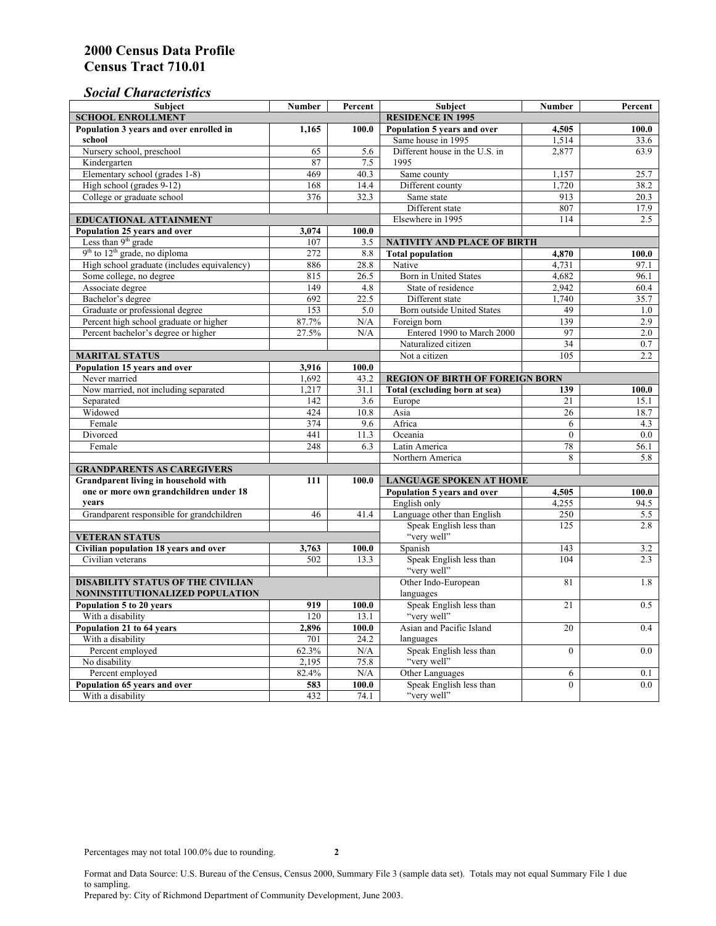# *Social Characteristics*

| <b>Subject</b>                                       | <b>Number</b>            | Percent | <b>Subject</b>                         | <b>Number</b>   | Percent |
|------------------------------------------------------|--------------------------|---------|----------------------------------------|-----------------|---------|
| <b>SCHOOL ENROLLMENT</b>                             | <b>RESIDENCE IN 1995</b> |         |                                        |                 |         |
| Population 3 years and over enrolled in              | 1,165                    | 100.0   | Population 5 years and over            | 4,505           | 100.0   |
| school                                               |                          |         | Same house in 1995                     | 1,514           | 33.6    |
| Nursery school, preschool                            | 65                       | 5.6     | Different house in the U.S. in         | 2,877           | 63.9    |
| Kindergarten                                         | 87                       | 7.5     | 1995                                   |                 |         |
| Elementary school (grades 1-8)                       | 469                      | 40.3    | Same county                            | 1,157           | 25.7    |
| High school (grades 9-12)                            | 168                      | 14.4    | Different county                       | 1,720           | 38.2    |
| College or graduate school                           | 376                      | 32.3    | Same state                             | 913             | 20.3    |
|                                                      |                          |         | Different state                        | 807             | 17.9    |
| <b>EDUCATIONAL ATTAINMENT</b>                        |                          |         | Elsewhere in 1995                      | 114             | 2.5     |
| Population 25 years and over                         | 3,074                    | 100.0   |                                        |                 |         |
| Less than 9 <sup>th</sup> grade                      | 107                      | 3.5     | NATIVITY AND PLACE OF BIRTH            |                 |         |
| $9th$ to $12th$ grade, no diploma                    | 272                      | 8.8     | <b>Total population</b>                | 4,870           | 100.0   |
| High school graduate (includes equivalency)          | 886                      | 28.8    | Native                                 | 4.731           | 97.1    |
| Some college, no degree                              | 815                      | 26.5    | <b>Born</b> in United States           | 4,682           | 96.1    |
| Associate degree                                     | 149                      | 4.8     | State of residence                     | 2,942           | 60.4    |
| Bachelor's degree                                    | 692                      | 22.5    | Different state                        | 1,740           | 35.7    |
| Graduate or professional degree                      | 153                      | 5.0     | Born outside United States             | 49              | 1.0     |
| Percent high school graduate or higher               | 87.7%                    | N/A     | Foreign born                           | 139             | 2.9     |
| Percent bachelor's degree or higher                  | 27.5%                    | N/A     | Entered 1990 to March 2000             | 97              | 2.0     |
|                                                      |                          |         | Naturalized citizen                    | $\overline{34}$ | 0.7     |
| <b>MARITAL STATUS</b>                                |                          |         | Not a citizen                          | 105             | 2.2     |
| Population 15 years and over                         | 3,916                    | 100.0   |                                        |                 |         |
| Never married                                        | 1,692                    | 43.2    | <b>REGION OF BIRTH OF FOREIGN BORN</b> |                 |         |
| Now married, not including separated                 | 1,217                    | 31.1    | Total (excluding born at sea)          | 139             | 100.0   |
| Separated                                            | 142                      | 3.6     | Europe                                 | 21              | 15.1    |
| Widowed                                              | 424                      | 10.8    | Asia                                   | 26              | 18.7    |
| Female                                               | 374                      | 9.6     | Africa                                 | 6               | 4.3     |
| Divorced                                             | 441                      | 11.3    | Oceania                                | $\Omega$        | 0.0     |
| Female                                               | 248                      | 6.3     | Latin America                          | 78              | 56.1    |
|                                                      |                          |         | Northern America                       | 8               | 5.8     |
| <b>GRANDPARENTS AS CAREGIVERS</b>                    |                          |         |                                        |                 |         |
| Grandparent living in household with<br>111<br>100.0 |                          |         | <b>LANGUAGE SPOKEN AT HOME</b>         |                 |         |
| one or more own grandchildren under 18               |                          |         | Population 5 years and over            | 4,505           | 100.0   |
| years                                                |                          |         | English only                           | 4,255           | 94.5    |
| Grandparent responsible for grandchildren            | 46                       | 41.4    | Language other than English            | 250             | 5.5     |
|                                                      |                          |         | Speak English less than                | 125             | 2.8     |
| <b>VETERAN STATUS</b>                                |                          |         | "very well"                            |                 |         |
| Civilian population 18 years and over                | 3,763                    | 100.0   | Spanish                                | 143             | 3.2     |
| Civilian veterans                                    | 502                      | 13.3    | Speak English less than                | 104             | 2.3     |
|                                                      |                          |         | "very well"                            |                 |         |
| <b>DISABILITY STATUS OF THE CIVILIAN</b>             | Other Indo-European      | 81      | 1.8                                    |                 |         |
| NONINSTITUTIONALIZED POPULATION                      | languages                |         |                                        |                 |         |
| Population 5 to 20 years                             | 919                      | 100.0   | Speak English less than                | 21              | 0.5     |
| With a disability                                    | 120                      | 13.1    | "very well"                            |                 |         |
| Population 21 to 64 years                            | 2.896                    | 100.0   | Asian and Pacific Island               | 20              | 0.4     |
| With a disability                                    | 701                      | 24.2    | languages                              |                 |         |
| Percent employed                                     | 62.3%                    | N/A     | Speak English less than                | $\overline{0}$  | 0.0     |
| No disability                                        | 2,195                    | 75.8    | "very well"                            |                 |         |
| Percent employed                                     | 82.4%                    | N/A     | Other Languages                        | 6               | 0.1     |
| Population 65 years and over                         | 583                      | 100.0   | Speak English less than                | $\mathbf{0}$    | 0.0     |
| With a disability                                    | 432                      | 74.1    | "very well"                            |                 |         |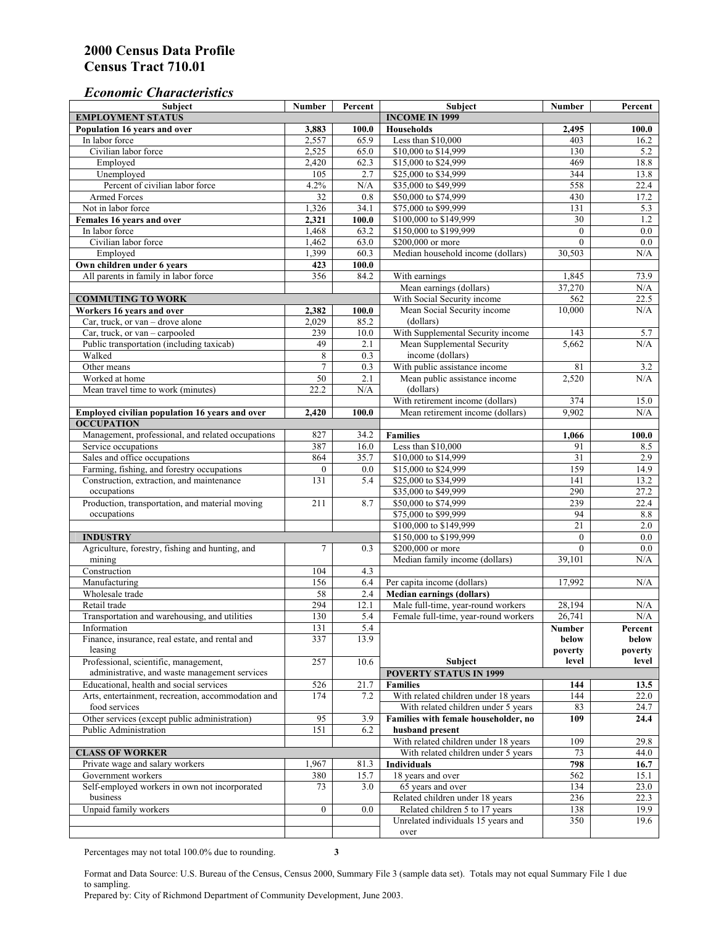### *Economic Characteristics*

| Population 16 years and over<br><b>Households</b><br>3,883<br>100.0<br>2,495<br>100.0<br>Less than \$10,000<br>2,557<br>65.9<br>403<br>In labor force<br>16.2<br>Civilian labor force<br>2,525<br>\$10,000 to \$14,999<br>65.0<br>130<br>5.2<br>469<br>2,420<br>62.3<br>\$15,000 to \$24,999<br>18.8<br>Employed<br>2.7<br>344<br>Unemployed<br>105<br>\$25,000 to \$34,999<br>13.8<br>Percent of civilian labor force<br>4.2%<br>558<br>$\rm N/A$<br>\$35,000 to \$49,999<br>22.4<br>Armed Forces<br>32<br>0.8<br>\$50,000 to \$74,999<br>430<br>17.2<br>Not in labor force<br>\$75,000 to \$99,999<br>1,326<br>34.1<br>131<br>5.3<br>\$100,000 to \$149,999<br>1.2<br>Females 16 years and over<br>2,321<br>100.0<br>30<br>In labor force<br>\$150,000 to \$199,999<br>0.0<br>1,468<br>63.2<br>$\mathbf{0}$<br>\$200,000 or more<br>Civilian labor force<br>1,462<br>63.0<br>$\mathbf{0}$<br>$0.0\,$<br>1,399<br>60.3<br>Median household income (dollars)<br>Employed<br>30,503<br>N/A<br>Own children under 6 years<br>100.0<br>423<br>All parents in family in labor force<br>356<br>84.2<br>With earnings<br>73.9<br>1,845<br>Mean earnings (dollars)<br>37,270<br>N/A<br>With Social Security income<br>562<br><b>COMMUTING TO WORK</b><br>22.5<br>Mean Social Security income<br>10.000<br>N/A<br>Workers 16 years and over<br>2,382<br>100.0<br>85.2<br>Car, truck, or van - drove alone<br>2,029<br>(dollars)<br>With Supplemental Security income<br>239<br>10.0<br>143<br>Car, truck, or van – carpooled<br>5.7<br>49<br>Mean Supplemental Security<br>Public transportation (including taxicab)<br>2.1<br>5,662<br>N/A<br>Walked<br>8<br>0.3<br>income (dollars)<br>$\tau$<br>0.3<br>With public assistance income<br>81<br>Other means<br>3.2<br>Mean public assistance income<br>Worked at home<br>50<br>2.1<br>2,520<br>N/A<br>(dollars)<br>Mean travel time to work (minutes)<br>22.2<br>N/A<br>With retirement income (dollars)<br>374<br>15.0<br>2,420<br>100.0<br>9,902<br>N/A<br>Employed civilian population 16 years and over<br>Mean retirement income (dollars)<br><b>OCCUPATION</b><br>Management, professional, and related occupations<br>827<br>34.2<br><b>Families</b><br>1,066<br>100.0<br>Less than \$10,000<br>Service occupations<br>387<br>16.0<br>91<br>8.5<br>Sales and office occupations<br>35.7<br>$\overline{31}$<br>2.9<br>864<br>\$10,000 to \$14,999<br>\$15,000 to \$24,999<br>159<br>Farming, fishing, and forestry occupations<br>0.0<br>14.9<br>$\boldsymbol{0}$<br>Construction, extraction, and maintenance<br>131<br>5.4<br>\$25,000 to \$34,999<br>141<br>13.2<br>\$35,000 to \$49,999<br>290<br>occupations<br>27.2<br>Production, transportation, and material moving<br>239<br>211<br>8.7<br>\$50,000 to \$74,999<br>22.4<br>occupations<br>\$75,000 to \$99,999<br>94<br>$8.8\,$<br>\$100,000 to \$149,999<br>$\overline{21}$<br>2.0<br>\$150,000 to \$199,999<br>$\boldsymbol{0}$<br>0.0<br><b>INDUSTRY</b><br>Agriculture, forestry, fishing and hunting, and<br>\$200,000 or more<br>$\overline{0.0}$<br>$\tau$<br>0.3<br>$\theta$<br>mining<br>Median family income (dollars)<br>$\rm N/A$<br>39,101<br>Construction<br>4.3<br>104<br>Manufacturing<br>156<br>17,992<br>N/A<br>6.4<br>Per capita income (dollars)<br>Wholesale trade<br><b>Median earnings (dollars)</b><br>58<br>2.4<br>294<br>12.1<br>Male full-time, year-round workers<br>Retail trade<br>28,194<br>N/A<br>130<br>5.4<br>Female full-time, year-round workers<br>26,741<br>N/A<br>Transportation and warehousing, and utilities<br>Information<br>131<br>5.4<br>Number<br>Percent<br>13.9<br>Finance, insurance, real estate, and rental and<br>337<br>below<br>below<br>leasing<br>poverty<br>poverty<br>Professional, scientific, management,<br>10.6<br>level<br>level<br>257<br>Subject<br><b>POVERTY STATUS IN 1999</b><br>administrative, and waste management services<br>Educational, health and social services<br>526<br>21.7<br><b>Families</b><br>144<br>13.5<br>With related children under 18 years<br>174<br>Arts, entertainment, recreation, accommodation and<br>7.2<br>144<br>22.0<br>food services<br>With related children under 5 years<br>83<br>24.7<br>Other services (except public administration)<br>95<br>3.9<br>Families with female householder, no<br>109<br>24.4<br>Public Administration<br>151<br>6.2<br>husband present<br>With related children under 18 years<br>109<br>29.8<br><b>CLASS OF WORKER</b><br>With related children under 5 years<br>73<br>44.0<br>Private wage and salary workers<br>1,967<br>81.3<br>Individuals<br>798<br>16.7<br>Government workers<br>18 years and over<br>380<br>562<br>15.7<br>15.1<br>Self-employed workers in own not incorporated<br>65 years and over<br>134<br>73<br>3.0<br>23.0<br>business<br>Related children under 18 years<br>236<br>22.3<br>Unpaid family workers<br>$\mathbf{0}$<br>Related children 5 to 17 years<br>138<br>19.9<br>0.0<br>Unrelated individuals 15 years and<br>350<br>19.6<br>over | <b>Subject</b>           | <b>Number</b> | Percent | Subject               | <b>Number</b> | Percent |
|--------------------------------------------------------------------------------------------------------------------------------------------------------------------------------------------------------------------------------------------------------------------------------------------------------------------------------------------------------------------------------------------------------------------------------------------------------------------------------------------------------------------------------------------------------------------------------------------------------------------------------------------------------------------------------------------------------------------------------------------------------------------------------------------------------------------------------------------------------------------------------------------------------------------------------------------------------------------------------------------------------------------------------------------------------------------------------------------------------------------------------------------------------------------------------------------------------------------------------------------------------------------------------------------------------------------------------------------------------------------------------------------------------------------------------------------------------------------------------------------------------------------------------------------------------------------------------------------------------------------------------------------------------------------------------------------------------------------------------------------------------------------------------------------------------------------------------------------------------------------------------------------------------------------------------------------------------------------------------------------------------------------------------------------------------------------------------------------------------------------------------------------------------------------------------------------------------------------------------------------------------------------------------------------------------------------------------------------------------------------------------------------------------------------------------------------------------------------------------------------------------------------------------------------------------------------------------------------------------------------------------------------------------------------------------------------------------------------------------------------------------------------------------------------------------------------------------------------------------------------------------------------------------------------------------------------------------------------------------------------------------------------------------------------------------------------------------------------------------------------------------------------------------------------------------------------------------------------------------------------------------------------------------------------------------------------------------------------------------------------------------------------------------------------------------------------------------------------------------------------------------------------------------------------------------------------------------------------------------------------------------------------------------------------------------------------------------------------------------------------------------------------------------------------------------------------------------------------------------------------------------------------------------------------------------------------------------------------------------------------------------------------------------------------------------------------------------------------------------------------------------------------------------------------------------------------------------------------------------------------------------------------------------------------------------------------------------------------------------------------------------------------------------------------------------------------------------------------------------------------------------------------------------------------------------------------------------------------------------------------------------------------------------------------------------------------------------------------------------------------------------------------------------------------------------------------------------------------------------------------------------------------------------------------------------------------------------------------------------------------------------------------------|--------------------------|---------------|---------|-----------------------|---------------|---------|
|                                                                                                                                                                                                                                                                                                                                                                                                                                                                                                                                                                                                                                                                                                                                                                                                                                                                                                                                                                                                                                                                                                                                                                                                                                                                                                                                                                                                                                                                                                                                                                                                                                                                                                                                                                                                                                                                                                                                                                                                                                                                                                                                                                                                                                                                                                                                                                                                                                                                                                                                                                                                                                                                                                                                                                                                                                                                                                                                                                                                                                                                                                                                                                                                                                                                                                                                                                                                                                                                                                                                                                                                                                                                                                                                                                                                                                                                                                                                                                                                                                                                                                                                                                                                                                                                                                                                                                                                                                                                                                                                                                                                                                                                                                                                                                                                                                                                                                                                                                                                                          | <b>EMPLOYMENT STATUS</b> |               |         | <b>INCOME IN 1999</b> |               |         |
|                                                                                                                                                                                                                                                                                                                                                                                                                                                                                                                                                                                                                                                                                                                                                                                                                                                                                                                                                                                                                                                                                                                                                                                                                                                                                                                                                                                                                                                                                                                                                                                                                                                                                                                                                                                                                                                                                                                                                                                                                                                                                                                                                                                                                                                                                                                                                                                                                                                                                                                                                                                                                                                                                                                                                                                                                                                                                                                                                                                                                                                                                                                                                                                                                                                                                                                                                                                                                                                                                                                                                                                                                                                                                                                                                                                                                                                                                                                                                                                                                                                                                                                                                                                                                                                                                                                                                                                                                                                                                                                                                                                                                                                                                                                                                                                                                                                                                                                                                                                                                          |                          |               |         |                       |               |         |
|                                                                                                                                                                                                                                                                                                                                                                                                                                                                                                                                                                                                                                                                                                                                                                                                                                                                                                                                                                                                                                                                                                                                                                                                                                                                                                                                                                                                                                                                                                                                                                                                                                                                                                                                                                                                                                                                                                                                                                                                                                                                                                                                                                                                                                                                                                                                                                                                                                                                                                                                                                                                                                                                                                                                                                                                                                                                                                                                                                                                                                                                                                                                                                                                                                                                                                                                                                                                                                                                                                                                                                                                                                                                                                                                                                                                                                                                                                                                                                                                                                                                                                                                                                                                                                                                                                                                                                                                                                                                                                                                                                                                                                                                                                                                                                                                                                                                                                                                                                                                                          |                          |               |         |                       |               |         |
|                                                                                                                                                                                                                                                                                                                                                                                                                                                                                                                                                                                                                                                                                                                                                                                                                                                                                                                                                                                                                                                                                                                                                                                                                                                                                                                                                                                                                                                                                                                                                                                                                                                                                                                                                                                                                                                                                                                                                                                                                                                                                                                                                                                                                                                                                                                                                                                                                                                                                                                                                                                                                                                                                                                                                                                                                                                                                                                                                                                                                                                                                                                                                                                                                                                                                                                                                                                                                                                                                                                                                                                                                                                                                                                                                                                                                                                                                                                                                                                                                                                                                                                                                                                                                                                                                                                                                                                                                                                                                                                                                                                                                                                                                                                                                                                                                                                                                                                                                                                                                          |                          |               |         |                       |               |         |
|                                                                                                                                                                                                                                                                                                                                                                                                                                                                                                                                                                                                                                                                                                                                                                                                                                                                                                                                                                                                                                                                                                                                                                                                                                                                                                                                                                                                                                                                                                                                                                                                                                                                                                                                                                                                                                                                                                                                                                                                                                                                                                                                                                                                                                                                                                                                                                                                                                                                                                                                                                                                                                                                                                                                                                                                                                                                                                                                                                                                                                                                                                                                                                                                                                                                                                                                                                                                                                                                                                                                                                                                                                                                                                                                                                                                                                                                                                                                                                                                                                                                                                                                                                                                                                                                                                                                                                                                                                                                                                                                                                                                                                                                                                                                                                                                                                                                                                                                                                                                                          |                          |               |         |                       |               |         |
|                                                                                                                                                                                                                                                                                                                                                                                                                                                                                                                                                                                                                                                                                                                                                                                                                                                                                                                                                                                                                                                                                                                                                                                                                                                                                                                                                                                                                                                                                                                                                                                                                                                                                                                                                                                                                                                                                                                                                                                                                                                                                                                                                                                                                                                                                                                                                                                                                                                                                                                                                                                                                                                                                                                                                                                                                                                                                                                                                                                                                                                                                                                                                                                                                                                                                                                                                                                                                                                                                                                                                                                                                                                                                                                                                                                                                                                                                                                                                                                                                                                                                                                                                                                                                                                                                                                                                                                                                                                                                                                                                                                                                                                                                                                                                                                                                                                                                                                                                                                                                          |                          |               |         |                       |               |         |
|                                                                                                                                                                                                                                                                                                                                                                                                                                                                                                                                                                                                                                                                                                                                                                                                                                                                                                                                                                                                                                                                                                                                                                                                                                                                                                                                                                                                                                                                                                                                                                                                                                                                                                                                                                                                                                                                                                                                                                                                                                                                                                                                                                                                                                                                                                                                                                                                                                                                                                                                                                                                                                                                                                                                                                                                                                                                                                                                                                                                                                                                                                                                                                                                                                                                                                                                                                                                                                                                                                                                                                                                                                                                                                                                                                                                                                                                                                                                                                                                                                                                                                                                                                                                                                                                                                                                                                                                                                                                                                                                                                                                                                                                                                                                                                                                                                                                                                                                                                                                                          |                          |               |         |                       |               |         |
|                                                                                                                                                                                                                                                                                                                                                                                                                                                                                                                                                                                                                                                                                                                                                                                                                                                                                                                                                                                                                                                                                                                                                                                                                                                                                                                                                                                                                                                                                                                                                                                                                                                                                                                                                                                                                                                                                                                                                                                                                                                                                                                                                                                                                                                                                                                                                                                                                                                                                                                                                                                                                                                                                                                                                                                                                                                                                                                                                                                                                                                                                                                                                                                                                                                                                                                                                                                                                                                                                                                                                                                                                                                                                                                                                                                                                                                                                                                                                                                                                                                                                                                                                                                                                                                                                                                                                                                                                                                                                                                                                                                                                                                                                                                                                                                                                                                                                                                                                                                                                          |                          |               |         |                       |               |         |
|                                                                                                                                                                                                                                                                                                                                                                                                                                                                                                                                                                                                                                                                                                                                                                                                                                                                                                                                                                                                                                                                                                                                                                                                                                                                                                                                                                                                                                                                                                                                                                                                                                                                                                                                                                                                                                                                                                                                                                                                                                                                                                                                                                                                                                                                                                                                                                                                                                                                                                                                                                                                                                                                                                                                                                                                                                                                                                                                                                                                                                                                                                                                                                                                                                                                                                                                                                                                                                                                                                                                                                                                                                                                                                                                                                                                                                                                                                                                                                                                                                                                                                                                                                                                                                                                                                                                                                                                                                                                                                                                                                                                                                                                                                                                                                                                                                                                                                                                                                                                                          |                          |               |         |                       |               |         |
|                                                                                                                                                                                                                                                                                                                                                                                                                                                                                                                                                                                                                                                                                                                                                                                                                                                                                                                                                                                                                                                                                                                                                                                                                                                                                                                                                                                                                                                                                                                                                                                                                                                                                                                                                                                                                                                                                                                                                                                                                                                                                                                                                                                                                                                                                                                                                                                                                                                                                                                                                                                                                                                                                                                                                                                                                                                                                                                                                                                                                                                                                                                                                                                                                                                                                                                                                                                                                                                                                                                                                                                                                                                                                                                                                                                                                                                                                                                                                                                                                                                                                                                                                                                                                                                                                                                                                                                                                                                                                                                                                                                                                                                                                                                                                                                                                                                                                                                                                                                                                          |                          |               |         |                       |               |         |
|                                                                                                                                                                                                                                                                                                                                                                                                                                                                                                                                                                                                                                                                                                                                                                                                                                                                                                                                                                                                                                                                                                                                                                                                                                                                                                                                                                                                                                                                                                                                                                                                                                                                                                                                                                                                                                                                                                                                                                                                                                                                                                                                                                                                                                                                                                                                                                                                                                                                                                                                                                                                                                                                                                                                                                                                                                                                                                                                                                                                                                                                                                                                                                                                                                                                                                                                                                                                                                                                                                                                                                                                                                                                                                                                                                                                                                                                                                                                                                                                                                                                                                                                                                                                                                                                                                                                                                                                                                                                                                                                                                                                                                                                                                                                                                                                                                                                                                                                                                                                                          |                          |               |         |                       |               |         |
|                                                                                                                                                                                                                                                                                                                                                                                                                                                                                                                                                                                                                                                                                                                                                                                                                                                                                                                                                                                                                                                                                                                                                                                                                                                                                                                                                                                                                                                                                                                                                                                                                                                                                                                                                                                                                                                                                                                                                                                                                                                                                                                                                                                                                                                                                                                                                                                                                                                                                                                                                                                                                                                                                                                                                                                                                                                                                                                                                                                                                                                                                                                                                                                                                                                                                                                                                                                                                                                                                                                                                                                                                                                                                                                                                                                                                                                                                                                                                                                                                                                                                                                                                                                                                                                                                                                                                                                                                                                                                                                                                                                                                                                                                                                                                                                                                                                                                                                                                                                                                          |                          |               |         |                       |               |         |
|                                                                                                                                                                                                                                                                                                                                                                                                                                                                                                                                                                                                                                                                                                                                                                                                                                                                                                                                                                                                                                                                                                                                                                                                                                                                                                                                                                                                                                                                                                                                                                                                                                                                                                                                                                                                                                                                                                                                                                                                                                                                                                                                                                                                                                                                                                                                                                                                                                                                                                                                                                                                                                                                                                                                                                                                                                                                                                                                                                                                                                                                                                                                                                                                                                                                                                                                                                                                                                                                                                                                                                                                                                                                                                                                                                                                                                                                                                                                                                                                                                                                                                                                                                                                                                                                                                                                                                                                                                                                                                                                                                                                                                                                                                                                                                                                                                                                                                                                                                                                                          |                          |               |         |                       |               |         |
|                                                                                                                                                                                                                                                                                                                                                                                                                                                                                                                                                                                                                                                                                                                                                                                                                                                                                                                                                                                                                                                                                                                                                                                                                                                                                                                                                                                                                                                                                                                                                                                                                                                                                                                                                                                                                                                                                                                                                                                                                                                                                                                                                                                                                                                                                                                                                                                                                                                                                                                                                                                                                                                                                                                                                                                                                                                                                                                                                                                                                                                                                                                                                                                                                                                                                                                                                                                                                                                                                                                                                                                                                                                                                                                                                                                                                                                                                                                                                                                                                                                                                                                                                                                                                                                                                                                                                                                                                                                                                                                                                                                                                                                                                                                                                                                                                                                                                                                                                                                                                          |                          |               |         |                       |               |         |
|                                                                                                                                                                                                                                                                                                                                                                                                                                                                                                                                                                                                                                                                                                                                                                                                                                                                                                                                                                                                                                                                                                                                                                                                                                                                                                                                                                                                                                                                                                                                                                                                                                                                                                                                                                                                                                                                                                                                                                                                                                                                                                                                                                                                                                                                                                                                                                                                                                                                                                                                                                                                                                                                                                                                                                                                                                                                                                                                                                                                                                                                                                                                                                                                                                                                                                                                                                                                                                                                                                                                                                                                                                                                                                                                                                                                                                                                                                                                                                                                                                                                                                                                                                                                                                                                                                                                                                                                                                                                                                                                                                                                                                                                                                                                                                                                                                                                                                                                                                                                                          |                          |               |         |                       |               |         |
|                                                                                                                                                                                                                                                                                                                                                                                                                                                                                                                                                                                                                                                                                                                                                                                                                                                                                                                                                                                                                                                                                                                                                                                                                                                                                                                                                                                                                                                                                                                                                                                                                                                                                                                                                                                                                                                                                                                                                                                                                                                                                                                                                                                                                                                                                                                                                                                                                                                                                                                                                                                                                                                                                                                                                                                                                                                                                                                                                                                                                                                                                                                                                                                                                                                                                                                                                                                                                                                                                                                                                                                                                                                                                                                                                                                                                                                                                                                                                                                                                                                                                                                                                                                                                                                                                                                                                                                                                                                                                                                                                                                                                                                                                                                                                                                                                                                                                                                                                                                                                          |                          |               |         |                       |               |         |
|                                                                                                                                                                                                                                                                                                                                                                                                                                                                                                                                                                                                                                                                                                                                                                                                                                                                                                                                                                                                                                                                                                                                                                                                                                                                                                                                                                                                                                                                                                                                                                                                                                                                                                                                                                                                                                                                                                                                                                                                                                                                                                                                                                                                                                                                                                                                                                                                                                                                                                                                                                                                                                                                                                                                                                                                                                                                                                                                                                                                                                                                                                                                                                                                                                                                                                                                                                                                                                                                                                                                                                                                                                                                                                                                                                                                                                                                                                                                                                                                                                                                                                                                                                                                                                                                                                                                                                                                                                                                                                                                                                                                                                                                                                                                                                                                                                                                                                                                                                                                                          |                          |               |         |                       |               |         |
|                                                                                                                                                                                                                                                                                                                                                                                                                                                                                                                                                                                                                                                                                                                                                                                                                                                                                                                                                                                                                                                                                                                                                                                                                                                                                                                                                                                                                                                                                                                                                                                                                                                                                                                                                                                                                                                                                                                                                                                                                                                                                                                                                                                                                                                                                                                                                                                                                                                                                                                                                                                                                                                                                                                                                                                                                                                                                                                                                                                                                                                                                                                                                                                                                                                                                                                                                                                                                                                                                                                                                                                                                                                                                                                                                                                                                                                                                                                                                                                                                                                                                                                                                                                                                                                                                                                                                                                                                                                                                                                                                                                                                                                                                                                                                                                                                                                                                                                                                                                                                          |                          |               |         |                       |               |         |
|                                                                                                                                                                                                                                                                                                                                                                                                                                                                                                                                                                                                                                                                                                                                                                                                                                                                                                                                                                                                                                                                                                                                                                                                                                                                                                                                                                                                                                                                                                                                                                                                                                                                                                                                                                                                                                                                                                                                                                                                                                                                                                                                                                                                                                                                                                                                                                                                                                                                                                                                                                                                                                                                                                                                                                                                                                                                                                                                                                                                                                                                                                                                                                                                                                                                                                                                                                                                                                                                                                                                                                                                                                                                                                                                                                                                                                                                                                                                                                                                                                                                                                                                                                                                                                                                                                                                                                                                                                                                                                                                                                                                                                                                                                                                                                                                                                                                                                                                                                                                                          |                          |               |         |                       |               |         |
|                                                                                                                                                                                                                                                                                                                                                                                                                                                                                                                                                                                                                                                                                                                                                                                                                                                                                                                                                                                                                                                                                                                                                                                                                                                                                                                                                                                                                                                                                                                                                                                                                                                                                                                                                                                                                                                                                                                                                                                                                                                                                                                                                                                                                                                                                                                                                                                                                                                                                                                                                                                                                                                                                                                                                                                                                                                                                                                                                                                                                                                                                                                                                                                                                                                                                                                                                                                                                                                                                                                                                                                                                                                                                                                                                                                                                                                                                                                                                                                                                                                                                                                                                                                                                                                                                                                                                                                                                                                                                                                                                                                                                                                                                                                                                                                                                                                                                                                                                                                                                          |                          |               |         |                       |               |         |
|                                                                                                                                                                                                                                                                                                                                                                                                                                                                                                                                                                                                                                                                                                                                                                                                                                                                                                                                                                                                                                                                                                                                                                                                                                                                                                                                                                                                                                                                                                                                                                                                                                                                                                                                                                                                                                                                                                                                                                                                                                                                                                                                                                                                                                                                                                                                                                                                                                                                                                                                                                                                                                                                                                                                                                                                                                                                                                                                                                                                                                                                                                                                                                                                                                                                                                                                                                                                                                                                                                                                                                                                                                                                                                                                                                                                                                                                                                                                                                                                                                                                                                                                                                                                                                                                                                                                                                                                                                                                                                                                                                                                                                                                                                                                                                                                                                                                                                                                                                                                                          |                          |               |         |                       |               |         |
|                                                                                                                                                                                                                                                                                                                                                                                                                                                                                                                                                                                                                                                                                                                                                                                                                                                                                                                                                                                                                                                                                                                                                                                                                                                                                                                                                                                                                                                                                                                                                                                                                                                                                                                                                                                                                                                                                                                                                                                                                                                                                                                                                                                                                                                                                                                                                                                                                                                                                                                                                                                                                                                                                                                                                                                                                                                                                                                                                                                                                                                                                                                                                                                                                                                                                                                                                                                                                                                                                                                                                                                                                                                                                                                                                                                                                                                                                                                                                                                                                                                                                                                                                                                                                                                                                                                                                                                                                                                                                                                                                                                                                                                                                                                                                                                                                                                                                                                                                                                                                          |                          |               |         |                       |               |         |
|                                                                                                                                                                                                                                                                                                                                                                                                                                                                                                                                                                                                                                                                                                                                                                                                                                                                                                                                                                                                                                                                                                                                                                                                                                                                                                                                                                                                                                                                                                                                                                                                                                                                                                                                                                                                                                                                                                                                                                                                                                                                                                                                                                                                                                                                                                                                                                                                                                                                                                                                                                                                                                                                                                                                                                                                                                                                                                                                                                                                                                                                                                                                                                                                                                                                                                                                                                                                                                                                                                                                                                                                                                                                                                                                                                                                                                                                                                                                                                                                                                                                                                                                                                                                                                                                                                                                                                                                                                                                                                                                                                                                                                                                                                                                                                                                                                                                                                                                                                                                                          |                          |               |         |                       |               |         |
|                                                                                                                                                                                                                                                                                                                                                                                                                                                                                                                                                                                                                                                                                                                                                                                                                                                                                                                                                                                                                                                                                                                                                                                                                                                                                                                                                                                                                                                                                                                                                                                                                                                                                                                                                                                                                                                                                                                                                                                                                                                                                                                                                                                                                                                                                                                                                                                                                                                                                                                                                                                                                                                                                                                                                                                                                                                                                                                                                                                                                                                                                                                                                                                                                                                                                                                                                                                                                                                                                                                                                                                                                                                                                                                                                                                                                                                                                                                                                                                                                                                                                                                                                                                                                                                                                                                                                                                                                                                                                                                                                                                                                                                                                                                                                                                                                                                                                                                                                                                                                          |                          |               |         |                       |               |         |
|                                                                                                                                                                                                                                                                                                                                                                                                                                                                                                                                                                                                                                                                                                                                                                                                                                                                                                                                                                                                                                                                                                                                                                                                                                                                                                                                                                                                                                                                                                                                                                                                                                                                                                                                                                                                                                                                                                                                                                                                                                                                                                                                                                                                                                                                                                                                                                                                                                                                                                                                                                                                                                                                                                                                                                                                                                                                                                                                                                                                                                                                                                                                                                                                                                                                                                                                                                                                                                                                                                                                                                                                                                                                                                                                                                                                                                                                                                                                                                                                                                                                                                                                                                                                                                                                                                                                                                                                                                                                                                                                                                                                                                                                                                                                                                                                                                                                                                                                                                                                                          |                          |               |         |                       |               |         |
|                                                                                                                                                                                                                                                                                                                                                                                                                                                                                                                                                                                                                                                                                                                                                                                                                                                                                                                                                                                                                                                                                                                                                                                                                                                                                                                                                                                                                                                                                                                                                                                                                                                                                                                                                                                                                                                                                                                                                                                                                                                                                                                                                                                                                                                                                                                                                                                                                                                                                                                                                                                                                                                                                                                                                                                                                                                                                                                                                                                                                                                                                                                                                                                                                                                                                                                                                                                                                                                                                                                                                                                                                                                                                                                                                                                                                                                                                                                                                                                                                                                                                                                                                                                                                                                                                                                                                                                                                                                                                                                                                                                                                                                                                                                                                                                                                                                                                                                                                                                                                          |                          |               |         |                       |               |         |
|                                                                                                                                                                                                                                                                                                                                                                                                                                                                                                                                                                                                                                                                                                                                                                                                                                                                                                                                                                                                                                                                                                                                                                                                                                                                                                                                                                                                                                                                                                                                                                                                                                                                                                                                                                                                                                                                                                                                                                                                                                                                                                                                                                                                                                                                                                                                                                                                                                                                                                                                                                                                                                                                                                                                                                                                                                                                                                                                                                                                                                                                                                                                                                                                                                                                                                                                                                                                                                                                                                                                                                                                                                                                                                                                                                                                                                                                                                                                                                                                                                                                                                                                                                                                                                                                                                                                                                                                                                                                                                                                                                                                                                                                                                                                                                                                                                                                                                                                                                                                                          |                          |               |         |                       |               |         |
|                                                                                                                                                                                                                                                                                                                                                                                                                                                                                                                                                                                                                                                                                                                                                                                                                                                                                                                                                                                                                                                                                                                                                                                                                                                                                                                                                                                                                                                                                                                                                                                                                                                                                                                                                                                                                                                                                                                                                                                                                                                                                                                                                                                                                                                                                                                                                                                                                                                                                                                                                                                                                                                                                                                                                                                                                                                                                                                                                                                                                                                                                                                                                                                                                                                                                                                                                                                                                                                                                                                                                                                                                                                                                                                                                                                                                                                                                                                                                                                                                                                                                                                                                                                                                                                                                                                                                                                                                                                                                                                                                                                                                                                                                                                                                                                                                                                                                                                                                                                                                          |                          |               |         |                       |               |         |
|                                                                                                                                                                                                                                                                                                                                                                                                                                                                                                                                                                                                                                                                                                                                                                                                                                                                                                                                                                                                                                                                                                                                                                                                                                                                                                                                                                                                                                                                                                                                                                                                                                                                                                                                                                                                                                                                                                                                                                                                                                                                                                                                                                                                                                                                                                                                                                                                                                                                                                                                                                                                                                                                                                                                                                                                                                                                                                                                                                                                                                                                                                                                                                                                                                                                                                                                                                                                                                                                                                                                                                                                                                                                                                                                                                                                                                                                                                                                                                                                                                                                                                                                                                                                                                                                                                                                                                                                                                                                                                                                                                                                                                                                                                                                                                                                                                                                                                                                                                                                                          |                          |               |         |                       |               |         |
|                                                                                                                                                                                                                                                                                                                                                                                                                                                                                                                                                                                                                                                                                                                                                                                                                                                                                                                                                                                                                                                                                                                                                                                                                                                                                                                                                                                                                                                                                                                                                                                                                                                                                                                                                                                                                                                                                                                                                                                                                                                                                                                                                                                                                                                                                                                                                                                                                                                                                                                                                                                                                                                                                                                                                                                                                                                                                                                                                                                                                                                                                                                                                                                                                                                                                                                                                                                                                                                                                                                                                                                                                                                                                                                                                                                                                                                                                                                                                                                                                                                                                                                                                                                                                                                                                                                                                                                                                                                                                                                                                                                                                                                                                                                                                                                                                                                                                                                                                                                                                          |                          |               |         |                       |               |         |
|                                                                                                                                                                                                                                                                                                                                                                                                                                                                                                                                                                                                                                                                                                                                                                                                                                                                                                                                                                                                                                                                                                                                                                                                                                                                                                                                                                                                                                                                                                                                                                                                                                                                                                                                                                                                                                                                                                                                                                                                                                                                                                                                                                                                                                                                                                                                                                                                                                                                                                                                                                                                                                                                                                                                                                                                                                                                                                                                                                                                                                                                                                                                                                                                                                                                                                                                                                                                                                                                                                                                                                                                                                                                                                                                                                                                                                                                                                                                                                                                                                                                                                                                                                                                                                                                                                                                                                                                                                                                                                                                                                                                                                                                                                                                                                                                                                                                                                                                                                                                                          |                          |               |         |                       |               |         |
|                                                                                                                                                                                                                                                                                                                                                                                                                                                                                                                                                                                                                                                                                                                                                                                                                                                                                                                                                                                                                                                                                                                                                                                                                                                                                                                                                                                                                                                                                                                                                                                                                                                                                                                                                                                                                                                                                                                                                                                                                                                                                                                                                                                                                                                                                                                                                                                                                                                                                                                                                                                                                                                                                                                                                                                                                                                                                                                                                                                                                                                                                                                                                                                                                                                                                                                                                                                                                                                                                                                                                                                                                                                                                                                                                                                                                                                                                                                                                                                                                                                                                                                                                                                                                                                                                                                                                                                                                                                                                                                                                                                                                                                                                                                                                                                                                                                                                                                                                                                                                          |                          |               |         |                       |               |         |
|                                                                                                                                                                                                                                                                                                                                                                                                                                                                                                                                                                                                                                                                                                                                                                                                                                                                                                                                                                                                                                                                                                                                                                                                                                                                                                                                                                                                                                                                                                                                                                                                                                                                                                                                                                                                                                                                                                                                                                                                                                                                                                                                                                                                                                                                                                                                                                                                                                                                                                                                                                                                                                                                                                                                                                                                                                                                                                                                                                                                                                                                                                                                                                                                                                                                                                                                                                                                                                                                                                                                                                                                                                                                                                                                                                                                                                                                                                                                                                                                                                                                                                                                                                                                                                                                                                                                                                                                                                                                                                                                                                                                                                                                                                                                                                                                                                                                                                                                                                                                                          |                          |               |         |                       |               |         |
|                                                                                                                                                                                                                                                                                                                                                                                                                                                                                                                                                                                                                                                                                                                                                                                                                                                                                                                                                                                                                                                                                                                                                                                                                                                                                                                                                                                                                                                                                                                                                                                                                                                                                                                                                                                                                                                                                                                                                                                                                                                                                                                                                                                                                                                                                                                                                                                                                                                                                                                                                                                                                                                                                                                                                                                                                                                                                                                                                                                                                                                                                                                                                                                                                                                                                                                                                                                                                                                                                                                                                                                                                                                                                                                                                                                                                                                                                                                                                                                                                                                                                                                                                                                                                                                                                                                                                                                                                                                                                                                                                                                                                                                                                                                                                                                                                                                                                                                                                                                                                          |                          |               |         |                       |               |         |
|                                                                                                                                                                                                                                                                                                                                                                                                                                                                                                                                                                                                                                                                                                                                                                                                                                                                                                                                                                                                                                                                                                                                                                                                                                                                                                                                                                                                                                                                                                                                                                                                                                                                                                                                                                                                                                                                                                                                                                                                                                                                                                                                                                                                                                                                                                                                                                                                                                                                                                                                                                                                                                                                                                                                                                                                                                                                                                                                                                                                                                                                                                                                                                                                                                                                                                                                                                                                                                                                                                                                                                                                                                                                                                                                                                                                                                                                                                                                                                                                                                                                                                                                                                                                                                                                                                                                                                                                                                                                                                                                                                                                                                                                                                                                                                                                                                                                                                                                                                                                                          |                          |               |         |                       |               |         |
|                                                                                                                                                                                                                                                                                                                                                                                                                                                                                                                                                                                                                                                                                                                                                                                                                                                                                                                                                                                                                                                                                                                                                                                                                                                                                                                                                                                                                                                                                                                                                                                                                                                                                                                                                                                                                                                                                                                                                                                                                                                                                                                                                                                                                                                                                                                                                                                                                                                                                                                                                                                                                                                                                                                                                                                                                                                                                                                                                                                                                                                                                                                                                                                                                                                                                                                                                                                                                                                                                                                                                                                                                                                                                                                                                                                                                                                                                                                                                                                                                                                                                                                                                                                                                                                                                                                                                                                                                                                                                                                                                                                                                                                                                                                                                                                                                                                                                                                                                                                                                          |                          |               |         |                       |               |         |
|                                                                                                                                                                                                                                                                                                                                                                                                                                                                                                                                                                                                                                                                                                                                                                                                                                                                                                                                                                                                                                                                                                                                                                                                                                                                                                                                                                                                                                                                                                                                                                                                                                                                                                                                                                                                                                                                                                                                                                                                                                                                                                                                                                                                                                                                                                                                                                                                                                                                                                                                                                                                                                                                                                                                                                                                                                                                                                                                                                                                                                                                                                                                                                                                                                                                                                                                                                                                                                                                                                                                                                                                                                                                                                                                                                                                                                                                                                                                                                                                                                                                                                                                                                                                                                                                                                                                                                                                                                                                                                                                                                                                                                                                                                                                                                                                                                                                                                                                                                                                                          |                          |               |         |                       |               |         |
|                                                                                                                                                                                                                                                                                                                                                                                                                                                                                                                                                                                                                                                                                                                                                                                                                                                                                                                                                                                                                                                                                                                                                                                                                                                                                                                                                                                                                                                                                                                                                                                                                                                                                                                                                                                                                                                                                                                                                                                                                                                                                                                                                                                                                                                                                                                                                                                                                                                                                                                                                                                                                                                                                                                                                                                                                                                                                                                                                                                                                                                                                                                                                                                                                                                                                                                                                                                                                                                                                                                                                                                                                                                                                                                                                                                                                                                                                                                                                                                                                                                                                                                                                                                                                                                                                                                                                                                                                                                                                                                                                                                                                                                                                                                                                                                                                                                                                                                                                                                                                          |                          |               |         |                       |               |         |
|                                                                                                                                                                                                                                                                                                                                                                                                                                                                                                                                                                                                                                                                                                                                                                                                                                                                                                                                                                                                                                                                                                                                                                                                                                                                                                                                                                                                                                                                                                                                                                                                                                                                                                                                                                                                                                                                                                                                                                                                                                                                                                                                                                                                                                                                                                                                                                                                                                                                                                                                                                                                                                                                                                                                                                                                                                                                                                                                                                                                                                                                                                                                                                                                                                                                                                                                                                                                                                                                                                                                                                                                                                                                                                                                                                                                                                                                                                                                                                                                                                                                                                                                                                                                                                                                                                                                                                                                                                                                                                                                                                                                                                                                                                                                                                                                                                                                                                                                                                                                                          |                          |               |         |                       |               |         |
|                                                                                                                                                                                                                                                                                                                                                                                                                                                                                                                                                                                                                                                                                                                                                                                                                                                                                                                                                                                                                                                                                                                                                                                                                                                                                                                                                                                                                                                                                                                                                                                                                                                                                                                                                                                                                                                                                                                                                                                                                                                                                                                                                                                                                                                                                                                                                                                                                                                                                                                                                                                                                                                                                                                                                                                                                                                                                                                                                                                                                                                                                                                                                                                                                                                                                                                                                                                                                                                                                                                                                                                                                                                                                                                                                                                                                                                                                                                                                                                                                                                                                                                                                                                                                                                                                                                                                                                                                                                                                                                                                                                                                                                                                                                                                                                                                                                                                                                                                                                                                          |                          |               |         |                       |               |         |
|                                                                                                                                                                                                                                                                                                                                                                                                                                                                                                                                                                                                                                                                                                                                                                                                                                                                                                                                                                                                                                                                                                                                                                                                                                                                                                                                                                                                                                                                                                                                                                                                                                                                                                                                                                                                                                                                                                                                                                                                                                                                                                                                                                                                                                                                                                                                                                                                                                                                                                                                                                                                                                                                                                                                                                                                                                                                                                                                                                                                                                                                                                                                                                                                                                                                                                                                                                                                                                                                                                                                                                                                                                                                                                                                                                                                                                                                                                                                                                                                                                                                                                                                                                                                                                                                                                                                                                                                                                                                                                                                                                                                                                                                                                                                                                                                                                                                                                                                                                                                                          |                          |               |         |                       |               |         |
|                                                                                                                                                                                                                                                                                                                                                                                                                                                                                                                                                                                                                                                                                                                                                                                                                                                                                                                                                                                                                                                                                                                                                                                                                                                                                                                                                                                                                                                                                                                                                                                                                                                                                                                                                                                                                                                                                                                                                                                                                                                                                                                                                                                                                                                                                                                                                                                                                                                                                                                                                                                                                                                                                                                                                                                                                                                                                                                                                                                                                                                                                                                                                                                                                                                                                                                                                                                                                                                                                                                                                                                                                                                                                                                                                                                                                                                                                                                                                                                                                                                                                                                                                                                                                                                                                                                                                                                                                                                                                                                                                                                                                                                                                                                                                                                                                                                                                                                                                                                                                          |                          |               |         |                       |               |         |
|                                                                                                                                                                                                                                                                                                                                                                                                                                                                                                                                                                                                                                                                                                                                                                                                                                                                                                                                                                                                                                                                                                                                                                                                                                                                                                                                                                                                                                                                                                                                                                                                                                                                                                                                                                                                                                                                                                                                                                                                                                                                                                                                                                                                                                                                                                                                                                                                                                                                                                                                                                                                                                                                                                                                                                                                                                                                                                                                                                                                                                                                                                                                                                                                                                                                                                                                                                                                                                                                                                                                                                                                                                                                                                                                                                                                                                                                                                                                                                                                                                                                                                                                                                                                                                                                                                                                                                                                                                                                                                                                                                                                                                                                                                                                                                                                                                                                                                                                                                                                                          |                          |               |         |                       |               |         |
|                                                                                                                                                                                                                                                                                                                                                                                                                                                                                                                                                                                                                                                                                                                                                                                                                                                                                                                                                                                                                                                                                                                                                                                                                                                                                                                                                                                                                                                                                                                                                                                                                                                                                                                                                                                                                                                                                                                                                                                                                                                                                                                                                                                                                                                                                                                                                                                                                                                                                                                                                                                                                                                                                                                                                                                                                                                                                                                                                                                                                                                                                                                                                                                                                                                                                                                                                                                                                                                                                                                                                                                                                                                                                                                                                                                                                                                                                                                                                                                                                                                                                                                                                                                                                                                                                                                                                                                                                                                                                                                                                                                                                                                                                                                                                                                                                                                                                                                                                                                                                          |                          |               |         |                       |               |         |
|                                                                                                                                                                                                                                                                                                                                                                                                                                                                                                                                                                                                                                                                                                                                                                                                                                                                                                                                                                                                                                                                                                                                                                                                                                                                                                                                                                                                                                                                                                                                                                                                                                                                                                                                                                                                                                                                                                                                                                                                                                                                                                                                                                                                                                                                                                                                                                                                                                                                                                                                                                                                                                                                                                                                                                                                                                                                                                                                                                                                                                                                                                                                                                                                                                                                                                                                                                                                                                                                                                                                                                                                                                                                                                                                                                                                                                                                                                                                                                                                                                                                                                                                                                                                                                                                                                                                                                                                                                                                                                                                                                                                                                                                                                                                                                                                                                                                                                                                                                                                                          |                          |               |         |                       |               |         |
|                                                                                                                                                                                                                                                                                                                                                                                                                                                                                                                                                                                                                                                                                                                                                                                                                                                                                                                                                                                                                                                                                                                                                                                                                                                                                                                                                                                                                                                                                                                                                                                                                                                                                                                                                                                                                                                                                                                                                                                                                                                                                                                                                                                                                                                                                                                                                                                                                                                                                                                                                                                                                                                                                                                                                                                                                                                                                                                                                                                                                                                                                                                                                                                                                                                                                                                                                                                                                                                                                                                                                                                                                                                                                                                                                                                                                                                                                                                                                                                                                                                                                                                                                                                                                                                                                                                                                                                                                                                                                                                                                                                                                                                                                                                                                                                                                                                                                                                                                                                                                          |                          |               |         |                       |               |         |
|                                                                                                                                                                                                                                                                                                                                                                                                                                                                                                                                                                                                                                                                                                                                                                                                                                                                                                                                                                                                                                                                                                                                                                                                                                                                                                                                                                                                                                                                                                                                                                                                                                                                                                                                                                                                                                                                                                                                                                                                                                                                                                                                                                                                                                                                                                                                                                                                                                                                                                                                                                                                                                                                                                                                                                                                                                                                                                                                                                                                                                                                                                                                                                                                                                                                                                                                                                                                                                                                                                                                                                                                                                                                                                                                                                                                                                                                                                                                                                                                                                                                                                                                                                                                                                                                                                                                                                                                                                                                                                                                                                                                                                                                                                                                                                                                                                                                                                                                                                                                                          |                          |               |         |                       |               |         |
|                                                                                                                                                                                                                                                                                                                                                                                                                                                                                                                                                                                                                                                                                                                                                                                                                                                                                                                                                                                                                                                                                                                                                                                                                                                                                                                                                                                                                                                                                                                                                                                                                                                                                                                                                                                                                                                                                                                                                                                                                                                                                                                                                                                                                                                                                                                                                                                                                                                                                                                                                                                                                                                                                                                                                                                                                                                                                                                                                                                                                                                                                                                                                                                                                                                                                                                                                                                                                                                                                                                                                                                                                                                                                                                                                                                                                                                                                                                                                                                                                                                                                                                                                                                                                                                                                                                                                                                                                                                                                                                                                                                                                                                                                                                                                                                                                                                                                                                                                                                                                          |                          |               |         |                       |               |         |
|                                                                                                                                                                                                                                                                                                                                                                                                                                                                                                                                                                                                                                                                                                                                                                                                                                                                                                                                                                                                                                                                                                                                                                                                                                                                                                                                                                                                                                                                                                                                                                                                                                                                                                                                                                                                                                                                                                                                                                                                                                                                                                                                                                                                                                                                                                                                                                                                                                                                                                                                                                                                                                                                                                                                                                                                                                                                                                                                                                                                                                                                                                                                                                                                                                                                                                                                                                                                                                                                                                                                                                                                                                                                                                                                                                                                                                                                                                                                                                                                                                                                                                                                                                                                                                                                                                                                                                                                                                                                                                                                                                                                                                                                                                                                                                                                                                                                                                                                                                                                                          |                          |               |         |                       |               |         |
|                                                                                                                                                                                                                                                                                                                                                                                                                                                                                                                                                                                                                                                                                                                                                                                                                                                                                                                                                                                                                                                                                                                                                                                                                                                                                                                                                                                                                                                                                                                                                                                                                                                                                                                                                                                                                                                                                                                                                                                                                                                                                                                                                                                                                                                                                                                                                                                                                                                                                                                                                                                                                                                                                                                                                                                                                                                                                                                                                                                                                                                                                                                                                                                                                                                                                                                                                                                                                                                                                                                                                                                                                                                                                                                                                                                                                                                                                                                                                                                                                                                                                                                                                                                                                                                                                                                                                                                                                                                                                                                                                                                                                                                                                                                                                                                                                                                                                                                                                                                                                          |                          |               |         |                       |               |         |
|                                                                                                                                                                                                                                                                                                                                                                                                                                                                                                                                                                                                                                                                                                                                                                                                                                                                                                                                                                                                                                                                                                                                                                                                                                                                                                                                                                                                                                                                                                                                                                                                                                                                                                                                                                                                                                                                                                                                                                                                                                                                                                                                                                                                                                                                                                                                                                                                                                                                                                                                                                                                                                                                                                                                                                                                                                                                                                                                                                                                                                                                                                                                                                                                                                                                                                                                                                                                                                                                                                                                                                                                                                                                                                                                                                                                                                                                                                                                                                                                                                                                                                                                                                                                                                                                                                                                                                                                                                                                                                                                                                                                                                                                                                                                                                                                                                                                                                                                                                                                                          |                          |               |         |                       |               |         |
|                                                                                                                                                                                                                                                                                                                                                                                                                                                                                                                                                                                                                                                                                                                                                                                                                                                                                                                                                                                                                                                                                                                                                                                                                                                                                                                                                                                                                                                                                                                                                                                                                                                                                                                                                                                                                                                                                                                                                                                                                                                                                                                                                                                                                                                                                                                                                                                                                                                                                                                                                                                                                                                                                                                                                                                                                                                                                                                                                                                                                                                                                                                                                                                                                                                                                                                                                                                                                                                                                                                                                                                                                                                                                                                                                                                                                                                                                                                                                                                                                                                                                                                                                                                                                                                                                                                                                                                                                                                                                                                                                                                                                                                                                                                                                                                                                                                                                                                                                                                                                          |                          |               |         |                       |               |         |
|                                                                                                                                                                                                                                                                                                                                                                                                                                                                                                                                                                                                                                                                                                                                                                                                                                                                                                                                                                                                                                                                                                                                                                                                                                                                                                                                                                                                                                                                                                                                                                                                                                                                                                                                                                                                                                                                                                                                                                                                                                                                                                                                                                                                                                                                                                                                                                                                                                                                                                                                                                                                                                                                                                                                                                                                                                                                                                                                                                                                                                                                                                                                                                                                                                                                                                                                                                                                                                                                                                                                                                                                                                                                                                                                                                                                                                                                                                                                                                                                                                                                                                                                                                                                                                                                                                                                                                                                                                                                                                                                                                                                                                                                                                                                                                                                                                                                                                                                                                                                                          |                          |               |         |                       |               |         |
|                                                                                                                                                                                                                                                                                                                                                                                                                                                                                                                                                                                                                                                                                                                                                                                                                                                                                                                                                                                                                                                                                                                                                                                                                                                                                                                                                                                                                                                                                                                                                                                                                                                                                                                                                                                                                                                                                                                                                                                                                                                                                                                                                                                                                                                                                                                                                                                                                                                                                                                                                                                                                                                                                                                                                                                                                                                                                                                                                                                                                                                                                                                                                                                                                                                                                                                                                                                                                                                                                                                                                                                                                                                                                                                                                                                                                                                                                                                                                                                                                                                                                                                                                                                                                                                                                                                                                                                                                                                                                                                                                                                                                                                                                                                                                                                                                                                                                                                                                                                                                          |                          |               |         |                       |               |         |
|                                                                                                                                                                                                                                                                                                                                                                                                                                                                                                                                                                                                                                                                                                                                                                                                                                                                                                                                                                                                                                                                                                                                                                                                                                                                                                                                                                                                                                                                                                                                                                                                                                                                                                                                                                                                                                                                                                                                                                                                                                                                                                                                                                                                                                                                                                                                                                                                                                                                                                                                                                                                                                                                                                                                                                                                                                                                                                                                                                                                                                                                                                                                                                                                                                                                                                                                                                                                                                                                                                                                                                                                                                                                                                                                                                                                                                                                                                                                                                                                                                                                                                                                                                                                                                                                                                                                                                                                                                                                                                                                                                                                                                                                                                                                                                                                                                                                                                                                                                                                                          |                          |               |         |                       |               |         |
|                                                                                                                                                                                                                                                                                                                                                                                                                                                                                                                                                                                                                                                                                                                                                                                                                                                                                                                                                                                                                                                                                                                                                                                                                                                                                                                                                                                                                                                                                                                                                                                                                                                                                                                                                                                                                                                                                                                                                                                                                                                                                                                                                                                                                                                                                                                                                                                                                                                                                                                                                                                                                                                                                                                                                                                                                                                                                                                                                                                                                                                                                                                                                                                                                                                                                                                                                                                                                                                                                                                                                                                                                                                                                                                                                                                                                                                                                                                                                                                                                                                                                                                                                                                                                                                                                                                                                                                                                                                                                                                                                                                                                                                                                                                                                                                                                                                                                                                                                                                                                          |                          |               |         |                       |               |         |
|                                                                                                                                                                                                                                                                                                                                                                                                                                                                                                                                                                                                                                                                                                                                                                                                                                                                                                                                                                                                                                                                                                                                                                                                                                                                                                                                                                                                                                                                                                                                                                                                                                                                                                                                                                                                                                                                                                                                                                                                                                                                                                                                                                                                                                                                                                                                                                                                                                                                                                                                                                                                                                                                                                                                                                                                                                                                                                                                                                                                                                                                                                                                                                                                                                                                                                                                                                                                                                                                                                                                                                                                                                                                                                                                                                                                                                                                                                                                                                                                                                                                                                                                                                                                                                                                                                                                                                                                                                                                                                                                                                                                                                                                                                                                                                                                                                                                                                                                                                                                                          |                          |               |         |                       |               |         |
|                                                                                                                                                                                                                                                                                                                                                                                                                                                                                                                                                                                                                                                                                                                                                                                                                                                                                                                                                                                                                                                                                                                                                                                                                                                                                                                                                                                                                                                                                                                                                                                                                                                                                                                                                                                                                                                                                                                                                                                                                                                                                                                                                                                                                                                                                                                                                                                                                                                                                                                                                                                                                                                                                                                                                                                                                                                                                                                                                                                                                                                                                                                                                                                                                                                                                                                                                                                                                                                                                                                                                                                                                                                                                                                                                                                                                                                                                                                                                                                                                                                                                                                                                                                                                                                                                                                                                                                                                                                                                                                                                                                                                                                                                                                                                                                                                                                                                                                                                                                                                          |                          |               |         |                       |               |         |
|                                                                                                                                                                                                                                                                                                                                                                                                                                                                                                                                                                                                                                                                                                                                                                                                                                                                                                                                                                                                                                                                                                                                                                                                                                                                                                                                                                                                                                                                                                                                                                                                                                                                                                                                                                                                                                                                                                                                                                                                                                                                                                                                                                                                                                                                                                                                                                                                                                                                                                                                                                                                                                                                                                                                                                                                                                                                                                                                                                                                                                                                                                                                                                                                                                                                                                                                                                                                                                                                                                                                                                                                                                                                                                                                                                                                                                                                                                                                                                                                                                                                                                                                                                                                                                                                                                                                                                                                                                                                                                                                                                                                                                                                                                                                                                                                                                                                                                                                                                                                                          |                          |               |         |                       |               |         |
|                                                                                                                                                                                                                                                                                                                                                                                                                                                                                                                                                                                                                                                                                                                                                                                                                                                                                                                                                                                                                                                                                                                                                                                                                                                                                                                                                                                                                                                                                                                                                                                                                                                                                                                                                                                                                                                                                                                                                                                                                                                                                                                                                                                                                                                                                                                                                                                                                                                                                                                                                                                                                                                                                                                                                                                                                                                                                                                                                                                                                                                                                                                                                                                                                                                                                                                                                                                                                                                                                                                                                                                                                                                                                                                                                                                                                                                                                                                                                                                                                                                                                                                                                                                                                                                                                                                                                                                                                                                                                                                                                                                                                                                                                                                                                                                                                                                                                                                                                                                                                          |                          |               |         |                       |               |         |
|                                                                                                                                                                                                                                                                                                                                                                                                                                                                                                                                                                                                                                                                                                                                                                                                                                                                                                                                                                                                                                                                                                                                                                                                                                                                                                                                                                                                                                                                                                                                                                                                                                                                                                                                                                                                                                                                                                                                                                                                                                                                                                                                                                                                                                                                                                                                                                                                                                                                                                                                                                                                                                                                                                                                                                                                                                                                                                                                                                                                                                                                                                                                                                                                                                                                                                                                                                                                                                                                                                                                                                                                                                                                                                                                                                                                                                                                                                                                                                                                                                                                                                                                                                                                                                                                                                                                                                                                                                                                                                                                                                                                                                                                                                                                                                                                                                                                                                                                                                                                                          |                          |               |         |                       |               |         |
|                                                                                                                                                                                                                                                                                                                                                                                                                                                                                                                                                                                                                                                                                                                                                                                                                                                                                                                                                                                                                                                                                                                                                                                                                                                                                                                                                                                                                                                                                                                                                                                                                                                                                                                                                                                                                                                                                                                                                                                                                                                                                                                                                                                                                                                                                                                                                                                                                                                                                                                                                                                                                                                                                                                                                                                                                                                                                                                                                                                                                                                                                                                                                                                                                                                                                                                                                                                                                                                                                                                                                                                                                                                                                                                                                                                                                                                                                                                                                                                                                                                                                                                                                                                                                                                                                                                                                                                                                                                                                                                                                                                                                                                                                                                                                                                                                                                                                                                                                                                                                          |                          |               |         |                       |               |         |

Percentages may not total 100.0% due to rounding. **3** 

Format and Data Source: U.S. Bureau of the Census, Census 2000, Summary File 3 (sample data set). Totals may not equal Summary File 1 due to sampling.

Prepared by: City of Richmond Department of Community Development, June 2003.